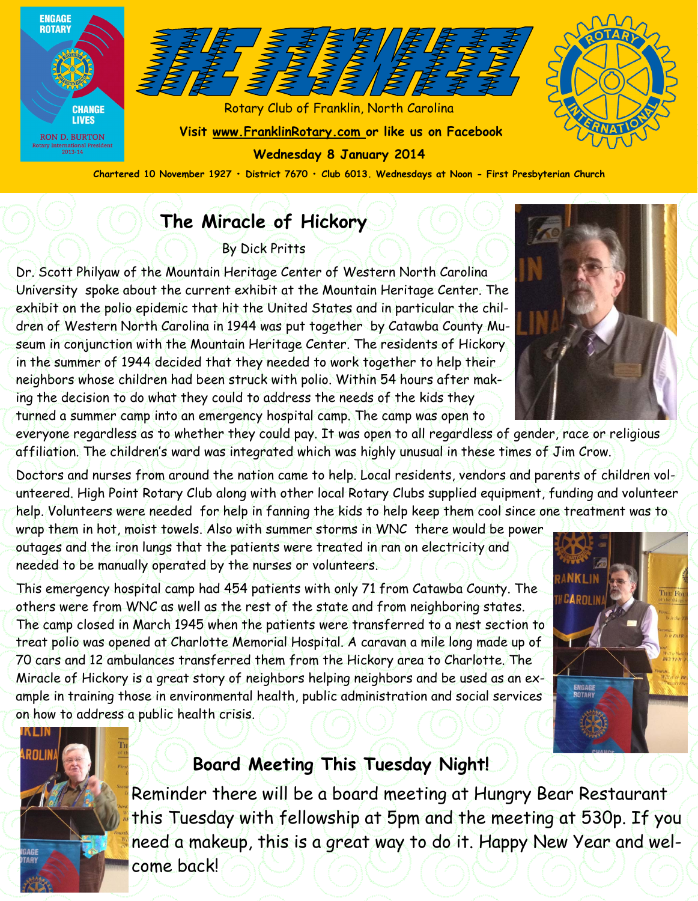



Rotary Club of Franklin, North Carolina **Visit www.FranklinRotary.com or like us on Facebook Wednesday 8 January 2014**

**Chartered 10 November 1927 • District 7670 • Club 6013. Wednesdays at Noon - First Presbyterian Church**

### **The Miracle of Hickory**

By Dick Pritts

Dr. Scott Philyaw of the Mountain Heritage Center of Western North Carolina University spoke about the current exhibit at the Mountain Heritage Center. The exhibit on the polio epidemic that hit the United States and in particular the children of Western North Carolina in 1944 was put together by Catawba County Museum in conjunction with the Mountain Heritage Center. The residents of Hickory in the summer of 1944 decided that they needed to work together to help their neighbors whose children had been struck with polio. Within 54 hours after making the decision to do what they could to address the needs of the kids they turned a summer camp into an emergency hospital camp. The camp was open to



everyone regardless as to whether they could pay. It was open to all regardless of gender, race or religious affiliation. The children's ward was integrated which was highly unusual in these times of Jim Crow.

Doctors and nurses from around the nation came to help. Local residents, vendors and parents of children volunteered. High Point Rotary Club along with other local Rotary Clubs supplied equipment, funding and volunteer help. Volunteers were needed for help in fanning the kids to help keep them cool since one treatment was to

wrap them in hot, moist towels. Also with summer storms in WNC there would be power outages and the iron lungs that the patients were treated in ran on electricity and needed to be manually operated by the nurses or volunteers.

This emergency hospital camp had 454 patients with only 71 from Catawba County. The others were from WNC as well as the rest of the state and from neighboring states. The camp closed in March 1945 when the patients were transferred to a nest section to treat polio was opened at Charlotte Memorial Hospital. A caravan a mile long made up of 70 cars and 12 ambulances transferred them from the Hickory area to Charlotte. The Miracle of Hickory is a great story of neighbors helping neighbors and be used as an example in training those in environmental health, public administration and social services on how to address a public health crisis.





### **Board Meeting This Tuesday Night!**

Reminder there will be a board meeting at Hungry Bear Restaurant this Tuesday with fellowship at 5pm and the meeting at 530p. If you need a makeup, this is a great way to do it. Happy New Year and welcome back!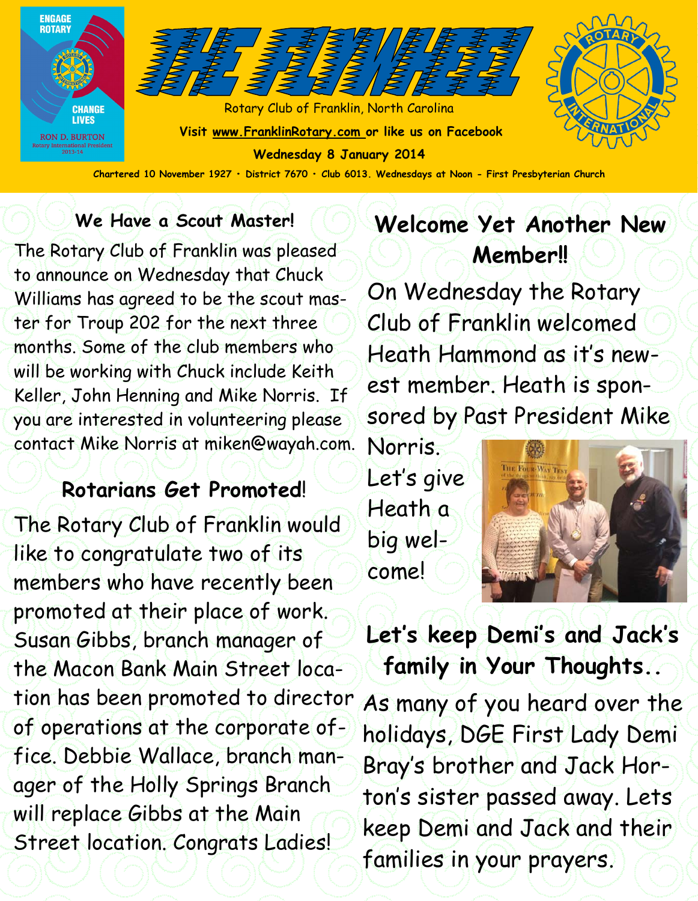

**Chartered 10 November 1927 • District 7670 • Club 6013. Wednesdays at Noon - First Presbyterian Church**

### **We Have a Scout Master!**

The Rotary Club of Franklin was pleased to announce on Wednesday that Chuck Williams has agreed to be the scout master for Troup 202 for the next three months. Some of the club members who will be working with Chuck include Keith Keller, John Henning and Mike Norris. If you are interested in volunteering please contact Mike Norris at miken@wayah.com.

### **Rotarians Get Promoted**!

The Rotary Club of Franklin would like to congratulate two of its members who have recently been promoted at their place of work. Susan Gibbs, branch manager of the Macon Bank Main Street location has been promoted to director of operations at the corporate office. Debbie Wallace, branch manager of the Holly Springs Branch will replace Gibbs at the Main Street location. Congrats Ladies!

### **Welcome Yet Another New Member!!**

On Wednesday the Rotary Club of Franklin welcomed Heath Hammond as it's newest member. Heath is sponsored by Past President Mike

Norris. Let's give Heath a big welcome!



## **Let's keep Demi's and Jack's family in Your Thoughts..**

As many of you heard over the holidays, DGE First Lady Demi Bray's brother and Jack Horton's sister passed away. Lets keep Demi and Jack and their families in your prayers.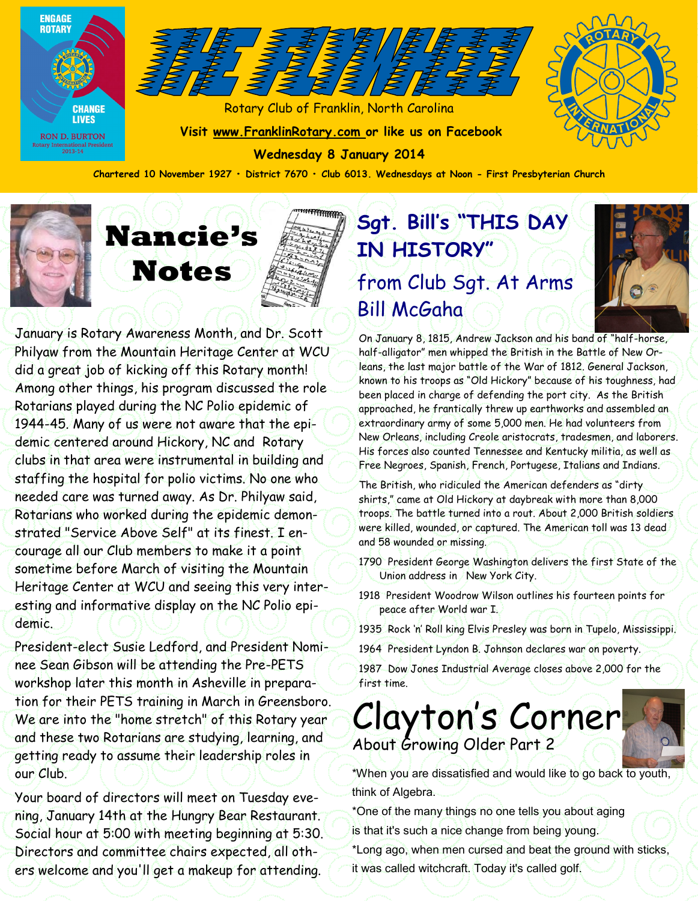



Rotary Club of Franklin, North Carolina **Visit www.FranklinRotary.com or like us on Facebook**

**Wednesday 8 January 2014**



**Chartered 10 November 1927 • District 7670 • Club 6013. Wednesdays at Noon - First Presbyterian Church**



# **Nancie's Notes**

January is Rotary Awareness Month, and Dr. Scott Philyaw from the Mountain Heritage Center at WCU did a great job of kicking off this Rotary month! Among other things, his program discussed the role Rotarians played during the NC Polio epidemic of 1944-45. Many of us were not aware that the epidemic centered around Hickory, NC and Rotary clubs in that area were instrumental in building and staffing the hospital for polio victims. No one who needed care was turned away. As Dr. Philyaw said, Rotarians who worked during the epidemic demonstrated "Service Above Self" at its finest. I encourage all our Club members to make it a point sometime before March of visiting the Mountain Heritage Center at WCU and seeing this very interesting and informative display on the NC Polio epidemic.

President-elect Susie Ledford, and President Nominee Sean Gibson will be attending the Pre-PETS workshop later this month in Asheville in preparation for their PETS training in March in Greensboro. We are into the "home stretch" of this Rotary year and these two Rotarians are studying, learning, and getting ready to assume their leadership roles in our Club.

Your board of directors will meet on Tuesday evening, January 14th at the Hungry Bear Restaurant. Social hour at 5:00 with meeting beginning at 5:30. Directors and committee chairs expected, all others welcome and you'll get a makeup for attending.

### **Sgt. Bill's "THIS DAY IN HISTORY"**  from Club Sgt. At Arms Bill McGaha



On January 8, 1815, Andrew Jackson and his band of "half-horse, half-alligator" men whipped the British in the Battle of New Orleans, the last major battle of the War of 1812. General Jackson, known to his troops as "Old Hickory" because of his toughness, had been placed in charge of defending the port city. As the British approached, he frantically threw up earthworks and assembled an extraordinary army of some 5,000 men. He had volunteers from New Orleans, including Creole aristocrats, tradesmen, and laborers. His forces also counted Tennessee and Kentucky militia, as well as Free Negroes, Spanish, French, Portugese, Italians and Indians.

The British, who ridiculed the American defenders as "dirty shirts," came at Old Hickory at daybreak with more than 8,000 troops. The battle turned into a rout. About 2,000 British soldiers were killed, wounded, or captured. The American toll was 13 dead and 58 wounded or missing.

1790 President George Washington delivers the first State of the Union address in New York City.

1918 President Woodrow Wilson outlines his fourteen points for peace after World war I.

1935 Rock 'n' Roll king Elvis Presley was born in Tupelo, Mississippi.

1964 President Lyndon B. Johnson declares war on poverty.

1987 Dow Jones Industrial Average closes above 2,000 for the first time.

### Clayton's Corner About Growing Older Part 2

\*When you are dissatisfied and would like to go back to youth, think of Algebra.

\*One of the many things no one tells you about aging is that it's such a nice change from being young.

\*Long ago, when men cursed and beat the ground with sticks, it was called witchcraft. Today it's called golf.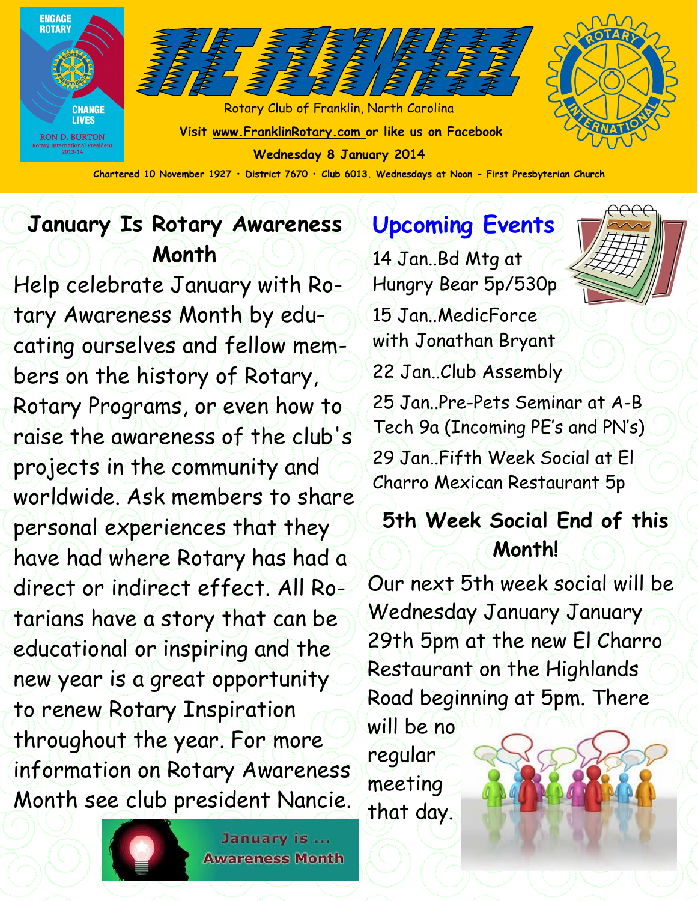



Rotary Club of Franklin, North Carolina **Visit www.FranklinRotary.com or like us on Facebook Wednesday 8 January 2014 Chartered 10 November 1927 • District 7670 • Club 6013. Wednesdays at Noon - First Presbyterian Church**



**January Is Rotary Awareness Month**

Help celebrate January with Rotary Awareness Month by educating ourselves and fellow members on the history of Rotary, Rotary Programs, or even how to raise the awareness of the club's projects in the community and worldwide. Ask members to share personal experiences that they have had where Rotary has had a direct or indirect effect. All Rotarians have a story that can be educational or inspiring and the new year is a great opportunity to renew Rotary Inspiration throughout the year. For more information on Rotary Awareness Month see club president Nancie.

**Upcoming Events** 14 Jan..Bd Mtg at Hungry Bear 5p/530p

15 Jan..MedicForce with Jonathan Bryant 22 Jan..Club Assembly

25 Jan..Pre-Pets Seminar at A-B Tech 9a (Incoming PE's and PN's) 29 Jan. Fifth Week Social at FI Charro Mexican Restaurant 5p

### **5th Week Social End of this Month!**

Our next 5th week social will be Wednesday January January 29th 5pm at the new El Charro Restaurant on the Highlands Road beginning at 5pm. There

will be no regular meeting that day.



January is ... **Awareness Month**